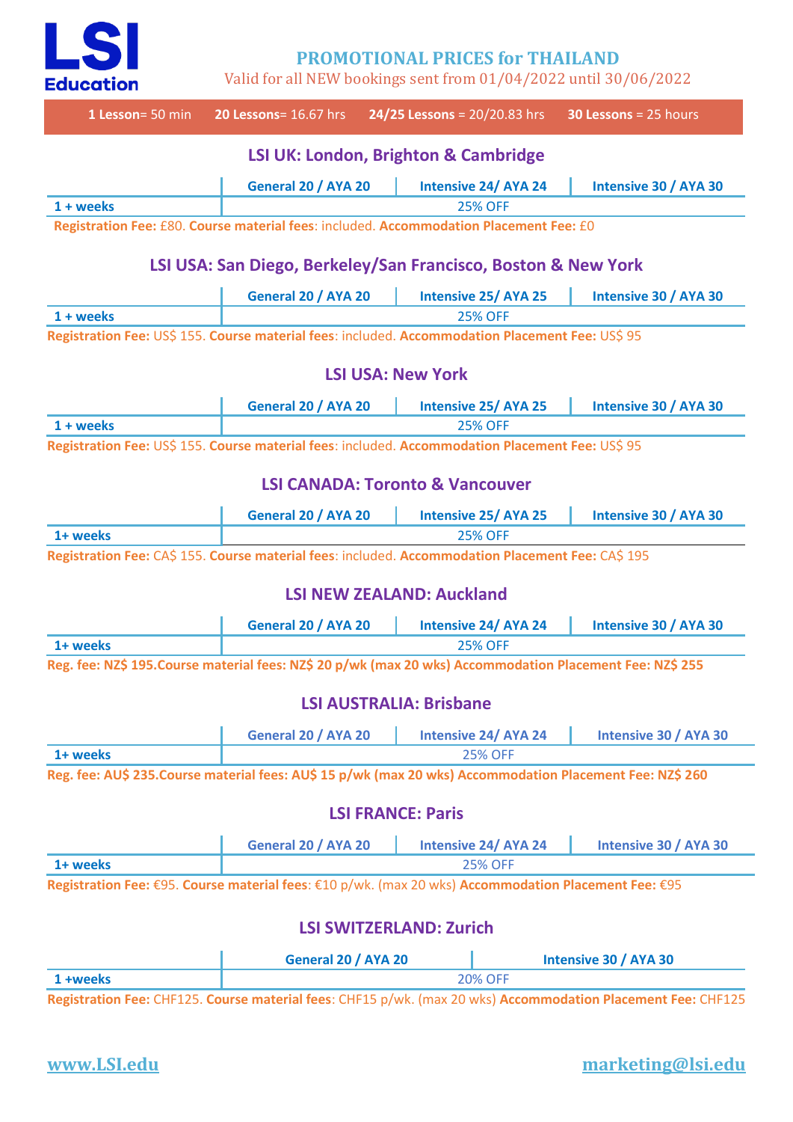

**PROMOTIONAL PRICES for THAILAND**

Valid for all NEW bookings sent from 01/04/2022 until 30/06/2022

| 1 Lesson= 50 min                                                                                     | <b>20 Lessons</b> = 16.67 hrs                                                                             | 24/25 Lessons = $20/20.83$ hrs                                                                            |                             | 30 Lessons = $25$ hours                                                                                      |  |
|------------------------------------------------------------------------------------------------------|-----------------------------------------------------------------------------------------------------------|-----------------------------------------------------------------------------------------------------------|-----------------------------|--------------------------------------------------------------------------------------------------------------|--|
|                                                                                                      |                                                                                                           | <b>LSI UK: London, Brighton &amp; Cambridge</b>                                                           |                             |                                                                                                              |  |
|                                                                                                      | General 20 / AYA 20                                                                                       |                                                                                                           | <b>Intensive 24/ AYA 24</b> | Intensive 30 / AYA 30                                                                                        |  |
| $1 + weeks$                                                                                          |                                                                                                           |                                                                                                           | <b>25% OFF</b>              |                                                                                                              |  |
|                                                                                                      | Registration Fee: £80. Course material fees: included. Accommodation Placement Fee: £0                    |                                                                                                           |                             |                                                                                                              |  |
|                                                                                                      | LSI USA: San Diego, Berkeley/San Francisco, Boston & New York                                             |                                                                                                           |                             |                                                                                                              |  |
|                                                                                                      | General 20 / AYA 20                                                                                       |                                                                                                           | <b>Intensive 25/ AYA 25</b> | Intensive 30 / AYA 30                                                                                        |  |
| $1 + weeks$                                                                                          |                                                                                                           |                                                                                                           | <b>25% OFF</b>              |                                                                                                              |  |
| Registration Fee: US\$ 155. Course material fees: included. Accommodation Placement Fee: US\$ 95     |                                                                                                           |                                                                                                           |                             |                                                                                                              |  |
|                                                                                                      |                                                                                                           | <b>LSI USA: New York</b>                                                                                  |                             |                                                                                                              |  |
|                                                                                                      | General 20 / AYA 20                                                                                       |                                                                                                           | <b>Intensive 25/ AYA 25</b> | Intensive 30 / AYA 30                                                                                        |  |
| $1 + weeks$                                                                                          | <b>25% OFF</b>                                                                                            |                                                                                                           |                             |                                                                                                              |  |
| Registration Fee: US\$ 155. Course material fees: included. Accommodation Placement Fee: US\$ 95     |                                                                                                           |                                                                                                           |                             |                                                                                                              |  |
|                                                                                                      |                                                                                                           | <b>LSI CANADA: Toronto &amp; Vancouver</b>                                                                |                             |                                                                                                              |  |
|                                                                                                      | General 20 / AYA 20                                                                                       |                                                                                                           | <b>Intensive 25/ AYA 25</b> | Intensive 30 / AYA 30                                                                                        |  |
| 1+ weeks                                                                                             |                                                                                                           | <b>25% OFF</b>                                                                                            |                             |                                                                                                              |  |
| Registration Fee: CA\$ 155. Course material fees: included. Accommodation Placement Fee: CA\$ 195    |                                                                                                           |                                                                                                           |                             |                                                                                                              |  |
| <b>LSI NEW ZEALAND: Auckland</b>                                                                     |                                                                                                           |                                                                                                           |                             |                                                                                                              |  |
|                                                                                                      | General 20 / AYA 20                                                                                       |                                                                                                           | <b>Intensive 24/ AYA 24</b> | Intensive 30 / AYA 30                                                                                        |  |
| 1+ weeks                                                                                             |                                                                                                           |                                                                                                           | <b>25% OFF</b>              |                                                                                                              |  |
|                                                                                                      | Reg. fee: NZ\$ 195. Course material fees: NZ\$ 20 p/wk (max 20 wks) Accommodation Placement Fee: NZ\$ 255 |                                                                                                           |                             |                                                                                                              |  |
|                                                                                                      |                                                                                                           | <b>LSI AUSTRALIA: Brisbane</b>                                                                            |                             |                                                                                                              |  |
|                                                                                                      | General 20 / AYA 20                                                                                       |                                                                                                           | <b>Intensive 24/ AYA 24</b> | Intensive 30 / AYA 30                                                                                        |  |
| 1+ weeks                                                                                             |                                                                                                           | <b>25% OFF</b>                                                                                            |                             |                                                                                                              |  |
|                                                                                                      |                                                                                                           | Reg. fee: AU\$ 235. Course material fees: AU\$ 15 p/wk (max 20 wks) Accommodation Placement Fee: NZ\$ 260 |                             |                                                                                                              |  |
|                                                                                                      |                                                                                                           |                                                                                                           |                             |                                                                                                              |  |
| <b>LSI FRANCE: Paris</b>                                                                             |                                                                                                           |                                                                                                           |                             |                                                                                                              |  |
|                                                                                                      | General 20 / AYA 20                                                                                       |                                                                                                           | <b>Intensive 24/ AYA 24</b> | Intensive 30 / AYA 30                                                                                        |  |
| 1+ weeks                                                                                             | <b>25% OFF</b>                                                                                            |                                                                                                           |                             |                                                                                                              |  |
| Registration Fee: €95. Course material fees: €10 p/wk. (max 20 wks) Accommodation Placement Fee: €95 |                                                                                                           |                                                                                                           |                             |                                                                                                              |  |
|                                                                                                      |                                                                                                           | <b>LSI SWITZERLAND: Zurich</b>                                                                            |                             |                                                                                                              |  |
|                                                                                                      |                                                                                                           | General 20 / AYA 20                                                                                       |                             | Intensive 30 / AYA 30                                                                                        |  |
| 1 +weeks                                                                                             |                                                                                                           | <b>20% OFF</b>                                                                                            |                             |                                                                                                              |  |
|                                                                                                      |                                                                                                           |                                                                                                           |                             | Registration Fee: CHF125. Course material fees: CHF15 p/wk. (max 20 wks) Accommodation Placement Fee: CHF125 |  |

## **www.LSI.edu marketing@lsi.edu**